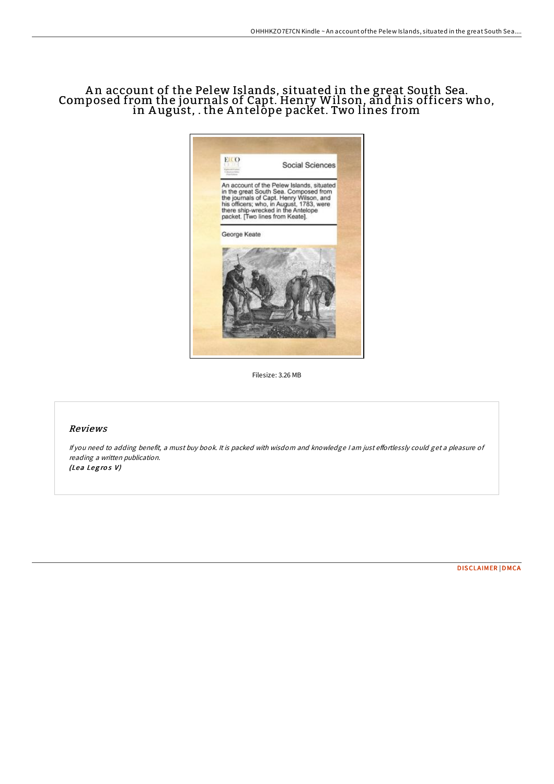## A n account of the Pelew Islands, situated in the great South Sea. Composed from the journals of Capt. Henry Wilson, and his officers who, in August, . the Antelope packet. Two lines from



Filesize: 3.26 MB

## Reviews

If you need to adding benefit, a must buy book. It is packed with wisdom and knowledge I am just effortlessly could get a pleasure of reading <sup>a</sup> written publication. (Lea Legros V)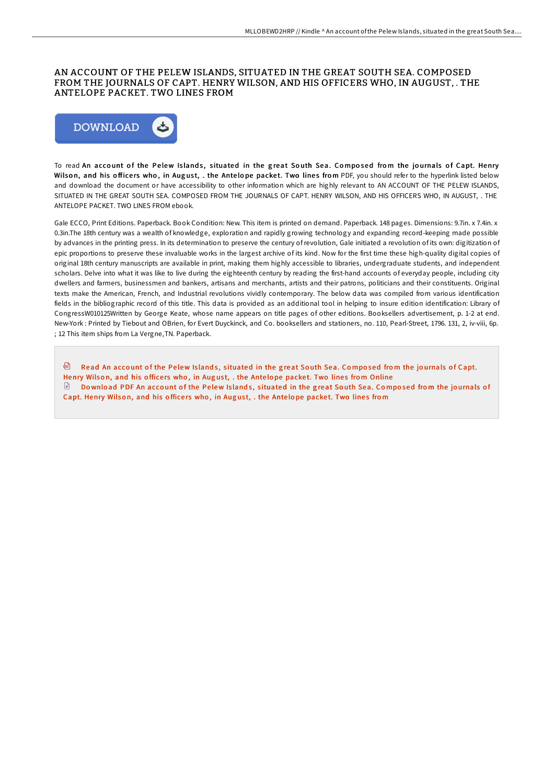## AN ACCOUNT OF THE PELEW ISLANDS, SITUATED IN THE GREAT SOUTH SEA. COMPOSED FROM THE JOURNALS OF CAPT. HENRY WILSON, AND HIS OFFICERS WHO, IN AUGUST, . THE ANTELOPE PACKET. TWO LINES FROM



To read An account of the Pelew Islands, situated in the great South Sea. Composed from the journals of Capt. Henry Wilson, and his officers who, in August, . the Antelope packet. Two lines from PDF, you should refer to the hyperlink listed below and download the document or have accessibility to other information which are highly relevant to AN ACCOUNT OF THE PELEW ISLANDS, SITUATED IN THE GREAT SOUTH SEA. COMPOSED FROM THE JOURNALS OF CAPT. HENRY WILSON, AND HIS OFFICERS WHO, IN AUGUST, . THE ANTELOPE PACKET. TWO LINES FROM ebook.

Gale ECCO, Print Editions. Paperback. Book Condition: New. This item is printed on demand. Paperback. 148 pages. Dimensions: 9.7in. x 7.4in. x 0.3in.The 18th century was a wealth of knowledge, exploration and rapidly growing technology and expanding record-keeping made possible by advances in the printing press. In its determination to preserve the century of revolution, Gale initiated a revolution of its own: digitization of epic proportions to preserve these invaluable works in the largest archive of its kind. Now for the first time these high-quality digital copies of original 18th century manuscripts are available in print, making them highly accessible to libraries, undergraduate students, and independent scholars. Delve into what it was like to live during the eighteenth century by reading the first-hand accounts of everyday people, including city dwellers and farmers, businessmen and bankers, artisans and merchants, artists and their patrons, politicians and their constituents. Original texts make the American, French, and Industrial revolutions vividly contemporary. The below data was compiled from various identification fields in the bibliographic record of this title. This data is provided as an additional tool in helping to insure edition identification: Library of CongressW010125Written by George Keate, whose name appears on title pages of other editions. Booksellers advertisement, p. 1-2 at end. New-York : Printed by Tiebout and OBrien, for Evert Duyckinck, and Co. booksellers and stationers, no. 110, Pearl-Street, 1796. 131, 2, iv-viii, 6p. ; 12 This item ships from La Vergne,TN. Paperback.

**D** Read An account of the Pelew Islands, s[ituated](http://almighty24.tech/an-account-of-the-pelew-islands-situated-in-the--1.html) in the great South Sea. Composed from the journals of Capt. Henry Wilson, and his officers who, in August, . the Antelope packet. Two lines from Online Download PDF An account of the Pelew Islands, s[ituated](http://almighty24.tech/an-account-of-the-pelew-islands-situated-in-the--1.html) in the great South Sea. Composed from the journals of Capt. Henry Wilson, and his officers who, in August, . the Antelope packet. Two lines from